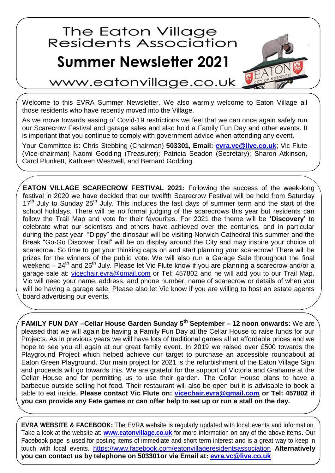## The Eaton Village<br>Residents Association

## **Summer Newsletter 2021**



www.eatonvillage.co.uk

Welcome to this EVRA Summer Newsletter. We also warmly welcome to Eaton Village all those residents who have recently moved into the Village.

As we move towards easing of Covid-19 restrictions we feel that we can once again safely run our Scarecrow Festival and garage sales and also hold a Family Fun Day and other events. It is important that you continue to comply with government advice when attending any event.

Your Committee is: Chris Stebbing (Chairman) **503301, Email:<evra.vc@live.co.uk>**; Vic Flute (Vice-chairman) Naomi Godding (Treasurer); Patricia Seadon (Secretary); Sharon Atkinson, Carol Plunkett, Kathleen Westwell, and Bernard Godding.

**EATON VILLAGE SCARECROW FESTIVAL 2021:** Following the success of the week-long festival in 2020 we have decided that our twelfth Scarecrow Festival will be held from Saturday 17<sup>th</sup> July to Sunday 25<sup>th</sup> July. This includes the last days of summer term and the start of the school holidays. There will be no formal judging of the scarecrows this year but residents can follow the Trail Map and vote for their favourites. For 2021 the theme will be **'Discovery'** to celebrate what our scientists and others have achieved over the centuries, and in particular during the past year. "Dippy" the dinosaur will be visiting Norwich Cathedral this summer and the Break "Go-Go Discover Trail" will be on display around the City and may inspire your choice of scarecrow. So time to get your thinking caps on and start planning your scarecrow! There will be prizes for the winners of the public vote. We will also run a Garage Sale throughout the final weekend –  $24<sup>th</sup>$  and  $25<sup>th</sup>$  July. Please let Vic Flute know if you are planning a scarecrow and/or a garage sale at: [vicechair.evra@gmail.com](vicechair.evra@gmail.com%20) or Tel: 457802 and he will add you to our Trail Map. Vic will need your name, address, and phone number, name of scarecrow or details of when you will be having a garage sale. Please also let Vic know if you are willing to host an estate agents board advertising our events.

**FAMILY FUN DAY –Cellar House Garden Sunday 5 th September – 12 noon onwards:** We are pleased that we will again be having a Family Fun Day at the Cellar House to raise funds for our Projects. As in previous years we will have lots of traditional games all at affordable prices and we hope to see you all again at our great family event. In 2019 we raised over £500 towards the Playground Project which helped achieve our target to purchase an accessible roundabout at Eaton Green Playground. Our main project for 2021 is the refurbishment of the Eaton Village Sign and proceeds will go towards this. We are grateful for the support of Victoria and Grahame at the Cellar House and for permitting us to use their garden. The Cellar House plans to have a barbecue outside selling hot food. Their restaurant will also be open but it is advisable to book a table to eat inside. **Please contact Vic Flute on: [vicechair.evra@gmail.com](mailto:vicechair.evra@gmail.com) or Tel: 457802 if you can provide any Fete games or can offer help to set up or run a stall on the day.**

**EVRA WEBSITE & FACEBOOK:** The EVRA website is regularly updated with local events and information. Take a look at the website at: **[www.eatonvillage.co.uk](http://www.eatonvillage.co.uk/)** for more information on any of the above items**.** Our Facebook page is used for posting items of immediate and short term interest and is a great way to keep in touch with local events. <https://www.facebook.com/eatonvillageresidentsassociation> **Alternatively you can contact us by telephone on 503301or via Email at: [evra.vc@live.co.uk](../../../AppData/Roaming/Microsoft/Word/evra.vc@live.co.uk)**